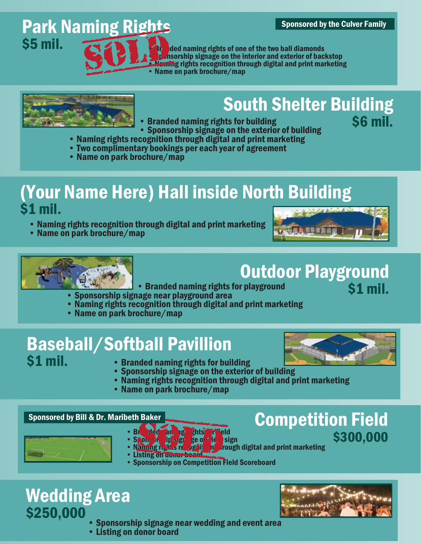#### Sponsored by the Culver Family

## **Park Naming Rights<br>S5 mil. 2323 YEAR**

ded naming rights of one of the two ball diamonds **• Sponsorship signage on the interior and exterior of backstop** and a maning rights of one of the two ball diamonds<br> **Exception** through digital and print marketing<br>
Solomon park brochure/map<br>
Solomon park brochure/map



### **South Shelter Building**<br>ats for building<br>An of the S6 mil.

- Branded naming rights for building
- Sponsorship signage on the exterior of building
- Naming rights recognition through digital and print marketing
- Two complimentary bookings per each year of agreement
- Name on park brochure/map

#### (Your Name Here) Hall inside North Building \$1 mil.

- Naming rights recognition through digital and print marketing
- Name on park brochure/map





#### Outdoor Playground \$1 mil.

- Branded naming rights for playground
- Sponsorship signage near playground area
- Naming rights recognition through digital and print marketing
- Name on park brochure/map

### **Baseball/Softball Pavillion**<br>S1 mil. **Contract Contract on Analysis 1**



- 
- **Branded naming rights for building**
- Sponsorship signage on the exterior of building
- Naming rights recognition through digital and print marketing
- Name on park brochure/map



- $\cdot$  Sponsorship single
- Branded an, per ghts for field<br>• Spon profit field sign second rights for field and stated name in the S300,000<br>• Namme rights report in a rough digital and print marketing
- $\overline{\mathbf{h}}$  *r*ough digital and print marketing • Listing on donor boa
- Sponsorship on Competition Field Scoreboard

#### Wedding Area \$250,000

- Sponsorship signage near wedding and event area
- Listing on donor board



Competition Field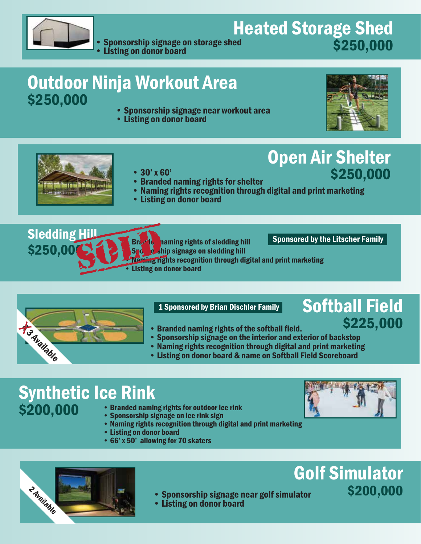

Heated Storage Shed<br>\$250,000 **• Sponsorship signage on storage shed** • Listing on donor board

### **Outdoor Ninja Workout Area<br>\$250,000**

- Sponsorship signage near workout area
- Listing on donor board



\$250,000





- Branded naming rights for shelter
- Naming rights recognition through digital and print marketing
- Listing on donor board



Sponsored by the Litscher Family

Open Air Shelter

- 
- 



1 Sponsored by Brian Dischler Family

#### • Branded naming rights of the softball field.

#### Softball Field \$225,000

- 
- Sponsorship signage on the interior and exterior of backstop • Naming rights recognition through digital and print marketing
- Listing on donor board & name on Softball Field Scoreboard

#### Synthetic Ice Rink \$200,000

- Branded naming rights for outdoor ice rink
- Sponsorship signage on ice rink sign
- Naming rights recognition through digital and print marketing
- Listing on donor board
- 66' x 50' allowing for 70 skaters





#### • Sponsorship signage near golf simulator

• Listing on donor board

### Golf Simulator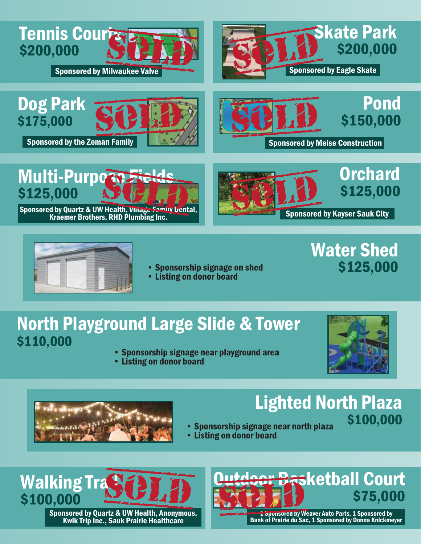

Sponsored by Milwaukee Valve







Sponsored by Meise Construction

Multi-Purpose \$125,000 ti - **Purpose Fights.**<br>
A by Quartz & UW Health, Viliage Femily Lental<br>
Kraemer Brothers, RHD Plumbing Inc.

Sponsored by Quartz & UW Health, Village Family Dental,





• Sponsorship signage on shed<br>• Listing on donor board

### North Playground Large Slide & Tower \$110,000

- Sponsorship signage near playground area
- Listing on donor board



**Water Shed<br>\$125,000** 



### Lighted North Plaza • Sponsorship signage near north plaza \$100,000

- 
- Listing on donor board



Sponsored by Quartz & UW Health, Anonymous, Kwik Trip Inc., Sauk Prairie Healthcare



1 Sponsored by Weaver Auto Parts, 1 Sponsored by Bank of Prairie du Sac, 1 Sponsored by Donna Knickmeyer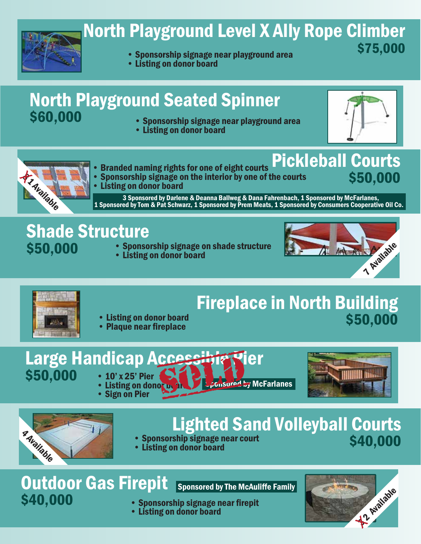

### North Playground Level X Ally Rope Climber

- \$75,000 Sponsorship signage near playground area
- Listing on donor board

### **North Playground Seated Spinner**<br>\$60,000 **Consecution** Spansorship signage near playground

• Sponsorship signage near playground area • Listing on donor board



\$50,000



- Branded naming rights for one of eight courts Pickleball Courts
- Sponsorship signage on the interior by one of the courts • Listing on donor board

3 Sponsored by Darlene & Deanna Ballweg & Dana Fahrenbach, 1 Sponsored by McFarlanes, 1 Sponsored by Tom & Pat Schwarz, 1 Sponsored by Prem Meats, 1 Sponsored by Consumers Cooperative Oil Co.

### **Shade Structure**<br>\$50,000 Sponso

- Sponsorship signage on shade structure
- Listing on donor board





### **Fireplace in North Building<br>\$50,000**

- Listing on donor board<br>• Plaque near fireplace
- 

# Large Handicap Accessible Pier<br>
• 10' x 25' Pier Sandonorus Lecusored by McFarlanes<br>
• Sign on Pier

- 
- $$50,000$   $\cdot$  10' x 25' Pier • Sign on Pier





### Lighted Sand Volleyball Courts<br>
ship signage near court<br>
540,000

- **Sponsorship signage near court**
- Listing on donor board

### **Outdoor Gas Firepit<br>\$40,000 Sapproxy**

Sponsored by The McAuliffe Family

- Sponsorship signage near firepit
- Listing on donor board

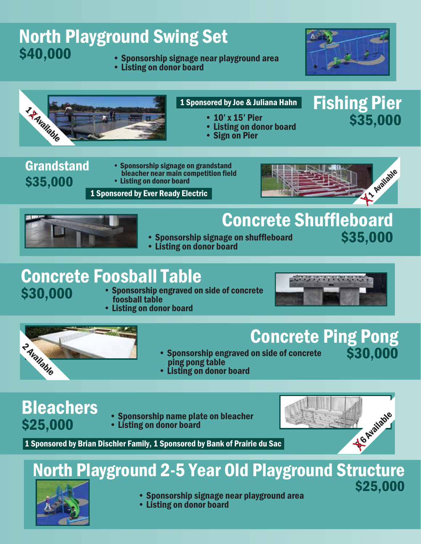### **North Playground Swing Set<br>\$40,000 Campos Concercial Strage near nla**

- **Sponsorship signage near playground area**
- Listing on donor board



Fishing Pier



- 10' x 15' Pier \$35,000
- Listing on donor board
- Sign on Pier

#### Grandstand \$35,000

• Sponsorship signage on grandstand bleacher near main competition field • Listing on donor board



### **Concrete Shuffleboard**<br>Ige on shuffleboard<br>\$35,000

- Sponsorship signage on shuffleboard<br>• Listing on donor board
- 

### **Concrete Foosball Table<br>\$30,000 • Sponsorship engraved on**

- **Sponsorship engraved on side of concrete** foosball table
- Listing on donor board



### **Concrete Ping Pong**<br>on side of concrete \$30,000

- Sponsorship engraved on side of concrete ping pong table  $\frac{3}{4}$ <br> $\frac{3}{4}$   $\frac{3}{4}$ <br> $\frac{3}{4}$ <br> $\frac{3}{4}$ <br> $\frac{3}{4}$ <br> $\frac{3}{4}$ <br> $\frac{3}{4}$ <br> $\frac{3}{4}$ <br> $\frac{3}{4}$ <br> $\frac{3}{4}$ <br> $\frac{3}{4}$ <br> $\frac{3}{4}$ <br> $\frac{3}{4}$ <br> $\frac{3}{4}$ <br> $\frac{3}{4}$ <br> $\frac{3}{4}$ <br> $\frac{3}{4}$ <br> $\frac{3}{4}$ <br> $\frac{3}{4}$ <br> $\frac{3}{4}$ <br> $\frac{3}{4}$ <br>
	- Listing on donor board

### **Bleachers**<br>\$25,000

• Sponsorship name plate on bleacher • Listing on donor board



### North Playground 2-5 Year Old Playground Structure



- $\bullet$  Sponsorship signage near playground area  $\bullet$  S25,000  $\bullet$
- Listing on donor board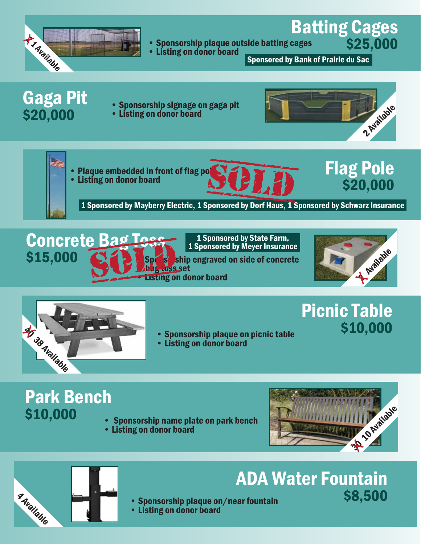

#### • Sponsorship plaque outside batting cages Batting Cages

• Listing on donor board

Sponsored by Bank of Prairie du Sac

### **Gaga Pit<br>\$20,000**

- Sponsorship signage on gaga pit
- Listing on donor board











\$25,000

1 Sponsored by Mayberry Electric, 1 Sponsored by Dorf Haus, 1 Sponsored by Schwarz Insurance



1 Sponsored by State Farm,<br>1 Sponsored by Meyer Insurance

bag toss set<br>Listing on donor board





#### Picnic Table \$10,000

- Sponsorship plaque on picnic table
- Listing on donor board

## **Park Bench<br>\$10,000**

- Sponsorship name plate on park bench<br>• Listing on donor board
- 





- **ADA Water Fountain**
- Sponsorship plaque on/near fountain<br>• Listing on donor board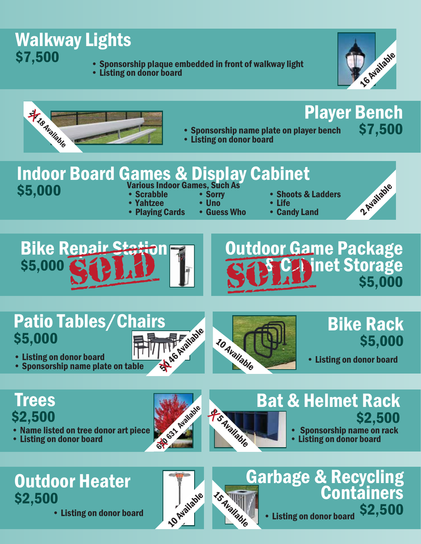

- 
- 



Player Bench



- Sponsorship name plate on player bench
- Listing on donor board

### Indoor Board Games & Display Cabinet<br>\$5,000 Scrabble Scrabble Sorry Shoots &

- \$5,000 Various Indoor Games, Such As
	-
- Yahtzee Uno Life • Plaving Cards
- 
- Shoots & Ladders<br>• Life



\$7,500

**Bike Repair Station** 



### Patio Tables/Chairs \$5,000  $$5,000$ <br>• Listing on donor board<br>• Sponsorship name plate on table  $\frac{1}{3}$



• Listing on donor board<br>• Sponsorship name plate on table



#### Bike Rack \$5,000

• Listing on donor board

#### Trees \$2,500

- Name listed on tree donor art piece
- 





#### Bat & Helmet Rack \$2,500

- Sponsorship name on rack
- Listing on donor board

### Outdoor Heater \$2,500

• Listing on donor board



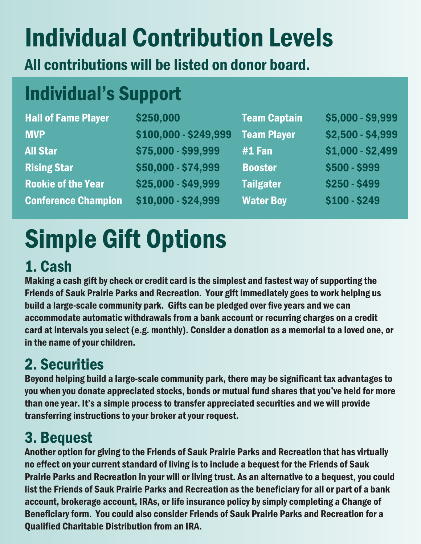### Individual Contribution Levels

All contributions will be listed on donor board.

### Individual's Support

| <b>Hall of Fame Player</b> | \$250,000             | <b>Team Captain</b> | \$5,000 - \$9,999 |
|----------------------------|-----------------------|---------------------|-------------------|
| <b>MVP</b>                 | \$100,000 - \$249,999 | <b>Team Player</b>  | \$2,500 - \$4,999 |
| <b>All Star</b>            | \$75,000 - \$99,999   | $#1$ Fan            | $$1,000 - $2,499$ |
| <b>Rising Star</b>         | \$50,000 - \$74,999   | <b>Booster</b>      | \$500 - \$999     |
| <b>Rookie of the Year</b>  | \$25,000 - \$49,999   | <b>Tailgater</b>    | \$250 - \$499     |
| <b>Conference Champion</b> | \$10,000 - \$24,999   | <b>Water Boy</b>    | $$100 - $249$     |

### Simple Gift Options

#### 1. Cash

Making a cash gift by check or credit card is the simplest and fastest way of supporting the Friends of Sauk Prairie Parks and Recreation. Your gift immediately goes to work helping us build a large-scale community park. Gifts can be pledged over five years and we can accommodate automatic withdrawals from a bank account or recurring charges on a credit card at intervals you select (e.g. monthly). Consider a donation as a memorial to a loved one, or in the name of your children.

### 2. Securities

Beyond helping build a large-scale community park, there may be significant tax advantages to you when you donate appreciated stocks, bonds or mutual fund shares that you've held for more than one year. It's a simple process to transfer appreciated securities and we will provide transferring instructions to your broker at your request.

#### 3. Bequest

Another option for giving to the Friends of Sauk Prairie Parks and Recreation that has virtually no effect on your current standard of living is to include a bequest for the Friends of Sauk Prairie Parks and Recreation in your will or living trust. As an alternative to a bequest, you could list the Friends of Sauk Prairie Parks and Recreation as the beneficiary for all or part of a bank account, brokerage account, IRAs, or life insurance policy by simply completing a Change of Beneficiary form. You could also consider Friends of Sauk Prairie Parks and Recreation for a Qualified Charitable Distribution from an IRA.